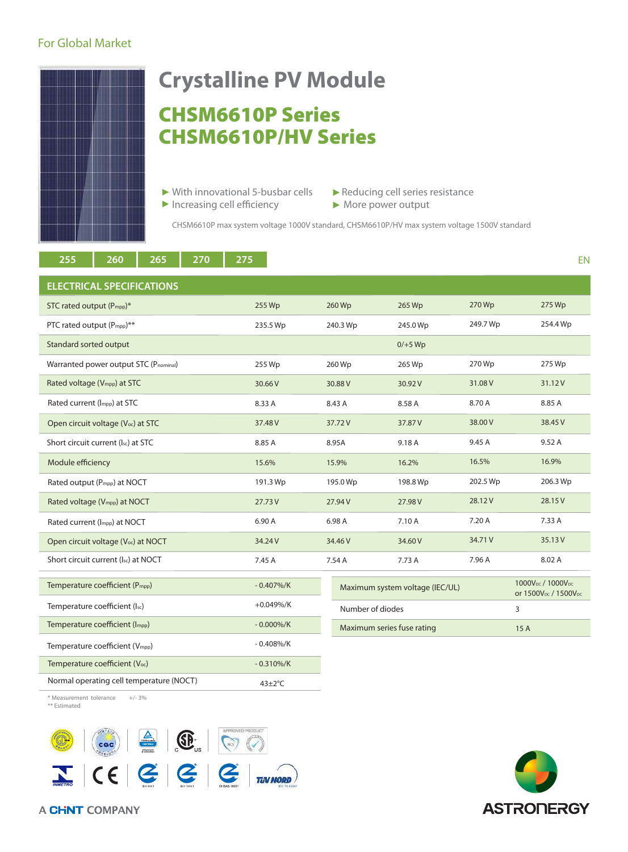## For Global Market



# CHSM6610P Series CHSM6610P/HV Series **Crystalline PV Module**

- $\triangleright$  With innovational 5-busbar cells  $\triangleright$  Reducing cell series resistance
	-
- Increasing cell efficiency More power output

CHSM6610P max system voltage 1000V standard, CHSM6610P/HV max system voltage 1500V standard

| 255<br>265<br>260<br>270                        | 275           |                            |                                 |          | EN                                                                                        |
|-------------------------------------------------|---------------|----------------------------|---------------------------------|----------|-------------------------------------------------------------------------------------------|
| <b>ELECTRICAL SPECIFICATIONS</b>                |               |                            |                                 |          |                                                                                           |
| STC rated output (P <sub>mpp</sub> )*           | 255 Wp        | 260 Wp                     | 265 Wp                          | 270 Wp   | 275 Wp                                                                                    |
| PTC rated output (P <sub>mpp</sub> )**          | 235.5 Wp      | 240.3 Wp                   | 245.0 Wp                        | 249.7 Wp | 254.4 Wp                                                                                  |
| Standard sorted output                          |               |                            | $0/+5$ Wp                       |          |                                                                                           |
| Warranted power output STC (Pnominal)           | 255 Wp        | 260 Wp                     | 265 Wp                          | 270 Wp   | 275 Wp                                                                                    |
| Rated voltage (V <sub>mpp</sub> ) at STC        | 30.66 V       | 30.88 V                    | 30.92V                          | 31.08 V  | 31.12V                                                                                    |
| Rated current (Impp) at STC                     | 8.33 A        | 8.43 A                     | 8.58 A                          | 8.70 A   | 8.85 A                                                                                    |
| Open circuit voltage (V <sub>oc</sub> ) at STC  | 37.48 V       | 37.72V                     | 37.87 V                         | 38,00 V  | 38.45 V                                                                                   |
| Short circuit current (Isc) at STC              | 8.85 A        | 8.95A                      | 9.18 A                          | 9.45 A   | 9.52A                                                                                     |
| Module efficiency                               | 15.6%         | 15.9%                      | 16.2%                           | 16.5%    | 16.9%                                                                                     |
| Rated output (P <sub>mpp</sub> ) at NOCT        | 191.3 Wp      | 195.0 Wp                   | 198.8 Wp                        | 202.5 Wp | 206.3 Wp                                                                                  |
| Rated voltage (V <sub>mpp</sub> ) at NOCT       | 27.73 V       | 27.94 V                    | 27.98V                          | 28.12V   | 28.15V                                                                                    |
| Rated current (Impp) at NOCT                    | 6.90 A        | 6.98 A                     | 7.10 A                          | 7.20 A   | 7.33 A                                                                                    |
| Open circuit voltage (V <sub>oc</sub> ) at NOCT | 34.24V        | 34.46 V                    | 34.60 V                         | 34.71 V  | 35.13 V                                                                                   |
| Short circuit current (Isc) at NOCT             | 7.45 A        | 7.54 A                     | 7.73 A                          | 7.96 A   | 8.02 A                                                                                    |
| Temperature coefficient (P <sub>mpp</sub> )     | $-0.407\%$ /K |                            | Maximum system voltage (IEC/UL) |          | 1000V <sub>DC</sub> / 1000V <sub>DC</sub><br>or 1500V <sub>pc</sub> / 1500V <sub>pc</sub> |
| Temperature coefficient (Isc)                   | $+0.049\%/K$  | Number of diodes           |                                 |          | 3                                                                                         |
| Temperature coefficient (Impp)                  | $-0.000\%/K$  | Maximum series fuse rating |                                 |          | 15 A                                                                                      |
| Temperature coefficient (Vmpp)                  | $-0.408\%/K$  |                            |                                 |          |                                                                                           |
| Temperature coefficient (Voc)                   | $-0.310\%/K$  |                            |                                 |          |                                                                                           |
| Normal operating cell temperature (NOCT)        | $43 \pm 2$ °C |                            |                                 |          |                                                                                           |

\* Measurement tolerance +/- 3% \*\* Estimated